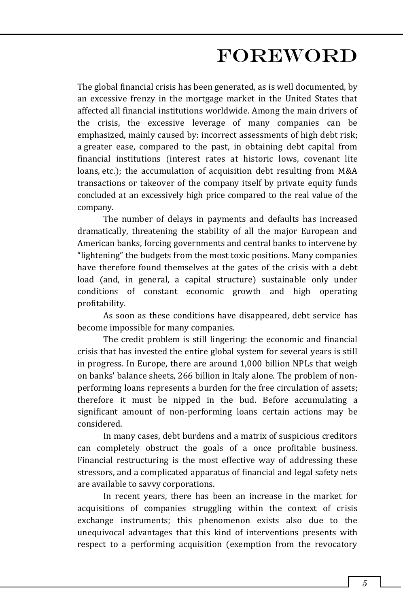## FOREWORD

The global financial crisis has been generated, as is well documented, by an excessive frenzy in the mortgage market in the United States that affected all financial institutions worldwide. Among the main drivers of the crisis, the excessive leverage of many companies can be emphasized, mainly caused by: incorrect assessments of high debt risk; a greater ease, compared to the past, in obtaining debt capital from financial institutions (interest rates at historic lows, covenant lite loans, etc.); the accumulation of acquisition debt resulting from M&A transactions or takeover of the company itself by private equity funds concluded at an excessively high price compared to the real value of the company.

The number of delays in payments and defaults has increased dramatically, threatening the stability of all the major European and American banks, forcing governments and central banks to intervene by "lightening" the budgets from the most toxic positions. Many companies have therefore found themselves at the gates of the crisis with a debt load (and, in general, a capital structure) sustainable only under conditions of constant economic growth and high operating profitability.

As soon as these conditions have disappeared, debt service has become impossible for many companies.

The credit problem is still lingering: the economic and financial crisis that has invested the entire global system for several years is still in progress. In Europe, there are around 1,000 billion NPLs that weigh on banks' balance sheets, 266 billion in Italy alone. The problem of nonperforming loans represents a burden for the free circulation of assets; therefore it must be nipped in the bud. Before accumulating a significant amount of non-performing loans certain actions may be considered.

In many cases, debt burdens and a matrix of suspicious creditors can completely obstruct the goals of a once profitable business. Financial restructuring is the most effective way of addressing these stressors, and a complicated apparatus of financial and legal safety nets are available to savvy corporations.

In recent years, there has been an increase in the market for acquisitions of companies struggling within the context of crisis exchange instruments; this phenomenon exists also due to the unequivocal advantages that this kind of interventions presents with respect to a performing acquisition (exemption from the revocatory